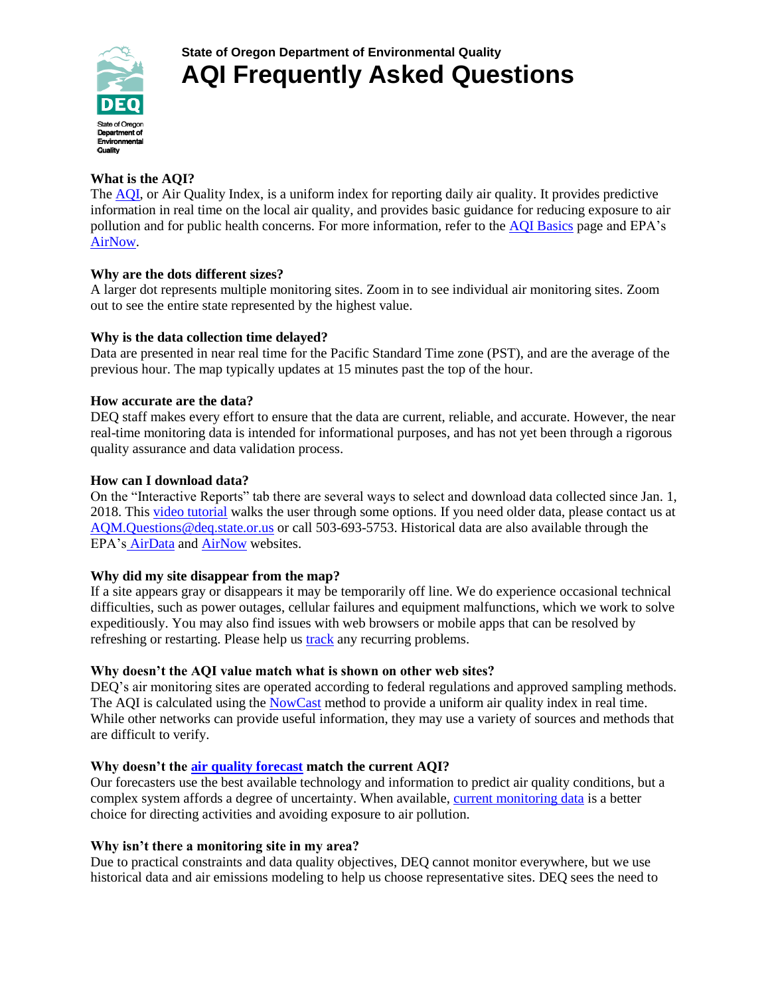

# **What is the AQI?**

The [AQI,](https://oraqi.deq.state.or.us/home/map) or Air Quality Index, is a uniform index for reporting daily air quality. It provides predictive information in real time on the local air quality, and provides basic guidance for reducing exposure to air pollution and for public health concerns. For more information, refer to the [AQI Basics](https://oraqi.deq.state.or.us/home/text/368) page and EPA's [AirNow.](https://www.airnow.gov/index.cfm?action=aqi_brochure.index)

## **Why are the dots different sizes?**

A larger dot represents multiple monitoring sites. Zoom in to see individual air monitoring sites. Zoom out to see the entire state represented by the highest value.

## **Why is the data collection time delayed?**

Data are presented in near real time for the Pacific Standard Time zone (PST), and are the average of the previous hour. The map typically updates at 15 minutes past the top of the hour.

## **How accurate are the data?**

DEQ staff makes every effort to ensure that the data are current, reliable, and accurate. However, the near real-time monitoring data is intended for informational purposes, and has not yet been through a rigorous quality assurance and data validation process.

## **How can I download data?**

On the "Interactive Reports" tab there are several ways to select and download data collected since Jan. 1, 2018. This [video tutorial](https://www.youtube.com/watch?v=RF8UgTkF0-E&feature=youtu.be) walks the user through some options. If you need older data, please contact us at [AQM.Questions@deq.state.or.us](mailto:AQM.Questions@deq.state.or.us) or call 503-693-5753. Historical data are also available through the EPA's [AirData](https://www.epa.gov/outdoor-air-quality-data) and [AirNow](https://airnow.gov/) websites.

### **Why did my site disappear from the map?**

If a site appears gray or disappears it may be temporarily off line. We do experience occasional technical difficulties, such as power outages, cellular failures and equipment malfunctions, which we work to solve expeditiously. You may also find issues with web browsers or mobile apps that can be resolved by refreshing or restarting. Please help us [track](mailto:AQM.questions@deq.state.or.us) any recurring problems.

### **Why doesn't the AQI value match what is shown on other web sites?**

DEQ's air monitoring sites are operated according to federal regulations and approved sampling methods. The AQI is calculated using the [NowCast](https://airnow.zendesk.com/hc/en-us/articles/212303417-How-is-the-NowCast-algorithm-used-to-report-current-air-quality-) method to provide a uniform air quality index in real time. While other networks can provide useful information, they may use a variety of sources and methods that are difficult to verify.

### **Why doesn't the [air quality forecast](https://airnow.gov/index.cfm?action=airnow.local_state&stateid=38&mapcenter=0&tabs=0) match the current AQI?**

Our forecasters use the best available technology and information to predict air quality conditions, but a complex system affords a degree of uncertainty. When available[, current monitoring data](https://oraqi.deq.state.or.us/home/map) is a better choice for directing activities and avoiding exposure to air pollution.

# **Why isn't there a monitoring site in my area?**

Due to practical constraints and data quality objectives, DEQ cannot monitor everywhere, but we use historical data and air emissions modeling to help us choose representative sites. DEQ sees the need to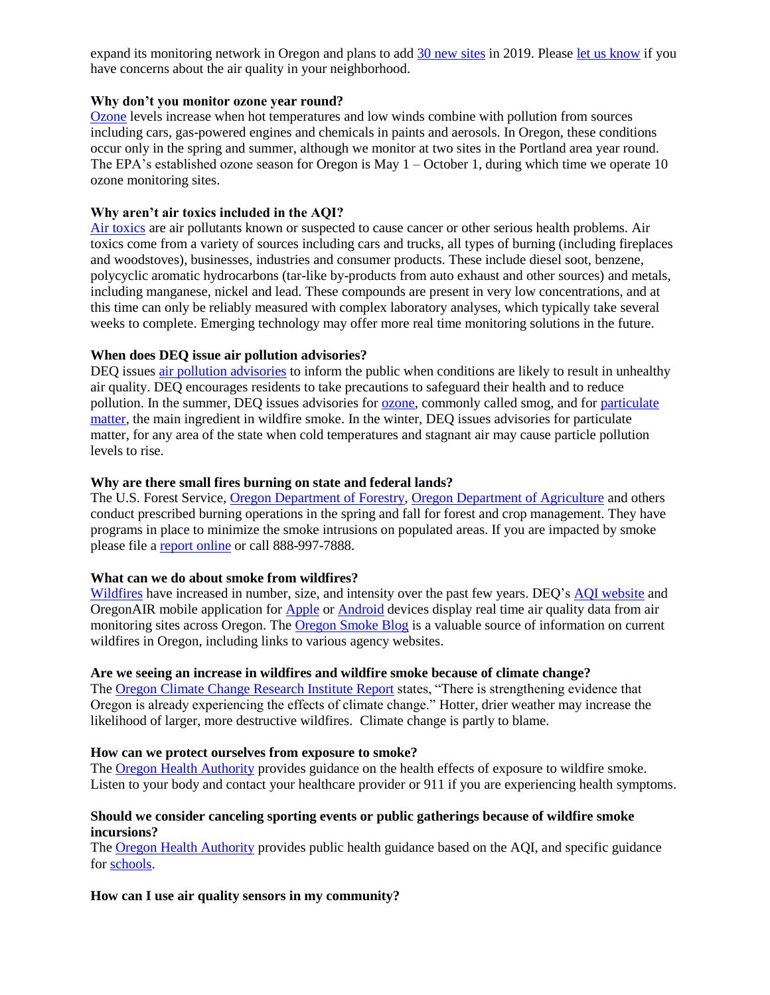expand its monitoring network in Oregon and plans to ad[d 30 new sites](https://www.oregon.gov/deq/FilterDocs/aqwsensors.pdf) in 2019. Please [let us know](mailto:AQM.questions@deq.state.or.us) if you have concerns about the air quality in your neighborhood.

#### **Why don't you monitor ozone year round?**

[Ozone](https://www.epa.gov/ground-level-ozone-pollution/ground-level-ozone-basics#effects) levels increase when hot temperatures and low winds combine with pollution from sources including cars, gas-powered engines and chemicals in paints and aerosols. In Oregon, these conditions occur only in the spring and summer, although we monitor at two sites in the Portland area year round. The EPA's established ozone season for Oregon is May  $1 -$ October 1, during which time we operate 10 ozone monitoring sites.

### **Why aren't air toxics included in the AQI?**

[Air toxics](https://www.oregon.gov/deq/aq/air-toxics/Pages/default.aspx) are air pollutants known or suspected to cause cancer or other serious health problems. Air toxics come from a variety of sources including cars and trucks, all types of burning (including fireplaces and woodstoves), businesses, industries and consumer products. These include diesel soot, benzene, polycyclic aromatic hydrocarbons (tar-like by-products from auto exhaust and other sources) and metals, including manganese, nickel and lead. These compounds are present in very low concentrations, and at this time can only be reliably measured with complex laboratory analyses, which typically take several weeks to complete. Emerging technology may offer more real time monitoring solutions in the future.

## **When does DEQ issue air pollution advisories?**

DEQ issues [air pollution advisories](https://www.oregon.gov/deq/aq/Pages/Air-Pollution-Advisories.aspx) to inform the public when conditions are likely to result in unhealthy air quality. DEQ encourages residents to take precautions to safeguard their health and to reduce pollution. In the summer, DEQ issues advisories for [ozone,](https://www.epa.gov/ground-level-ozone-pollution/ground-level-ozone-basics#effects) commonly called smog, and for [particulate](https://www.oregon.gov/deq/aq/Pages/Particulate-Matter.aspx)  [matter,](https://www.oregon.gov/deq/aq/Pages/Particulate-Matter.aspx) the main ingredient in wildfire smoke. In the winter, DEQ issues advisories for particulate matter, for any area of the state when cold temperatures and stagnant air may cause particle pollution levels to rise.

### **Why are there small fires burning on state and federal lands?**

The U.S. Forest Service, [Oregon Department of Forestry,](https://www.oregon.gov/odf/fire/pages/burn.aspx) [Oregon Department](https://www.oregon.gov/deq/aq/Pages/Burning-Willamette.aspx) of Agriculture and others conduct prescribed burning operations in the spring and fall for forest and crop management. They have programs in place to minimize the smoke intrusions on populated areas. If you are impacted by smoke please file a [report online](https://hdccmw1.deq.state.or.us/ncident/nform/app/?allowAnonymous=true#/submissionwizard/574b96b6-abe9-4506-a620-94310216d0fd/0) or call 888-997-7888.

### **What can we do about smoke from wildfires?**

[Wildfires](https://www.oregon.gov/deq/aq/Pages/Wildfires.aspx) have increased in number, size, and intensity over the past few years. DEQ's [AQI website](https://oraqi.deq.state.or.us/home/map) and OregonAIR mobile application for [Apple](https://itunes.apple.com/us/app/oregonair/id1330462330?mt=8) o[r Android](https://play.google.com/store/apps/details?id=app.envitech.maxik.Oregon.AirQuality.AirNow&hl=en_US) devices display real time air quality data from air monitoring sites across Oregon. The [Oregon Smoke Blog](https://oregonsmoke.blogspot.com/) is a valuable source of information on current wildfires in Oregon, including links to various agency websites.

### **Are we seeing an increase in wildfires and wildfire smoke because of climate change?**

The [Oregon Climate Change Research Institute Report](http://www.occri.net/media/1055/ocar3_final_all_01-30-2017_compressed.pdf) states, "There is strengthening evidence that Oregon is already experiencing the effects of climate change." Hotter, drier weather may increase the likelihood of larger, more destructive wildfires. Climate change is partly to blame.

### **How can we protect ourselves from exposure to smoke?**

The [Oregon Health Authority](https://www.oregon.gov/oha/ph/Preparedness/Prepare/Documents/OHA%208626%20Wildfire%20FAQs-v6c.pdf) provides guidance on the health effects of exposure to wildfire smoke. Listen to your body and contact your healthcare provider or 911 if you are experiencing health symptoms.

### **Should we consider canceling sporting events or public gatherings because of wildfire smoke incursions?**

The [Oregon Health Authority](https://www.oregon.gov/oha/PH/Preparedness/Prepare/Pages/PrepareForWildfire.aspx) provides public health guidance based on the AQI, and specific guidance for [schools.](https://apps.state.or.us/Forms/Served/le8815h.pdf)

### **How can I use air quality sensors in my community?**